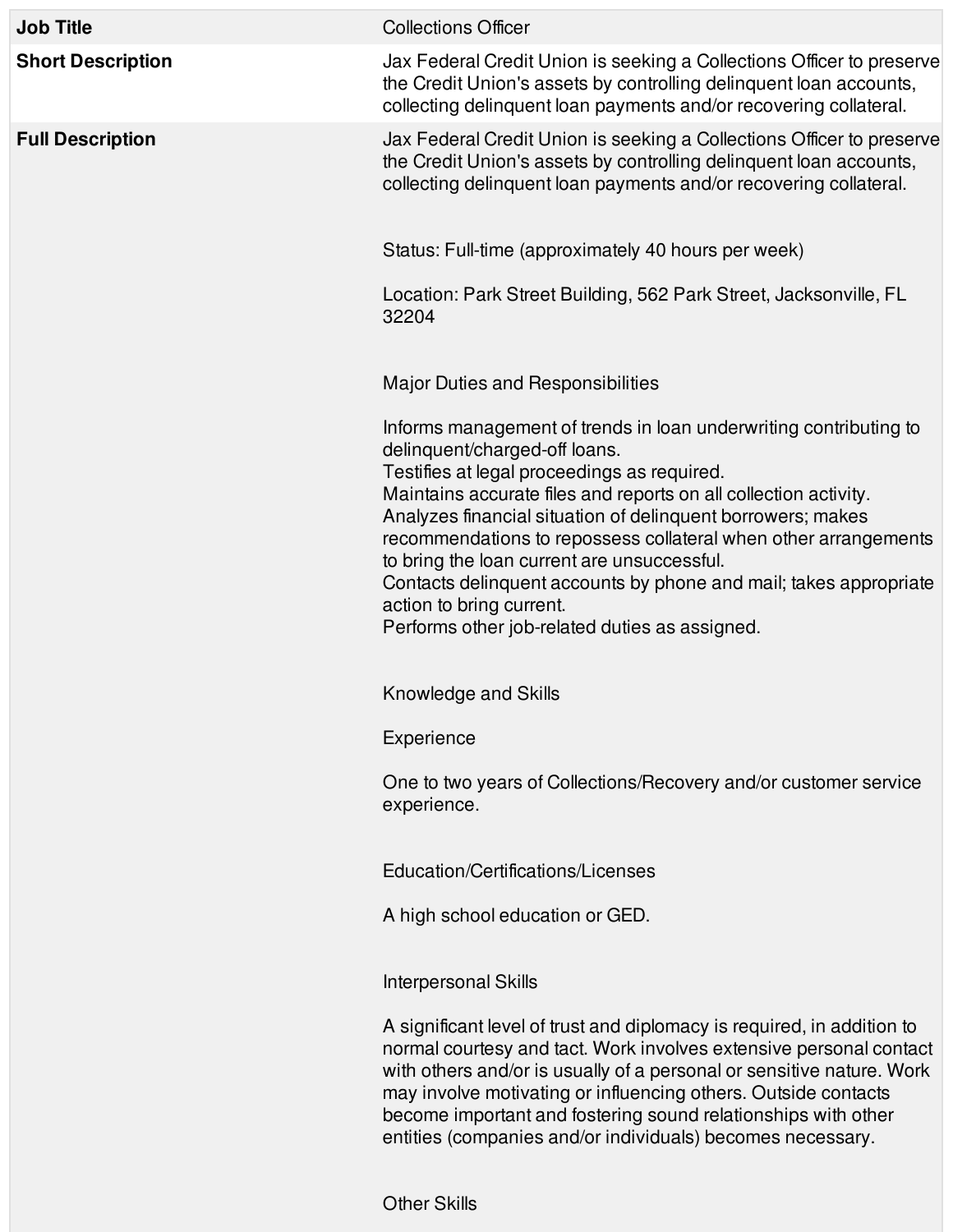| <b>Job Title</b>         | <b>Collections Officer</b>                                                                                                                                                                                                                                                                                                                                                                                                                                                                                                                                |
|--------------------------|-----------------------------------------------------------------------------------------------------------------------------------------------------------------------------------------------------------------------------------------------------------------------------------------------------------------------------------------------------------------------------------------------------------------------------------------------------------------------------------------------------------------------------------------------------------|
| <b>Short Description</b> | Jax Federal Credit Union is seeking a Collections Officer to preserve<br>the Credit Union's assets by controlling delinquent loan accounts,<br>collecting delinquent loan payments and/or recovering collateral.                                                                                                                                                                                                                                                                                                                                          |
| <b>Full Description</b>  | Jax Federal Credit Union is seeking a Collections Officer to preserve<br>the Credit Union's assets by controlling delinquent loan accounts,<br>collecting delinquent loan payments and/or recovering collateral.                                                                                                                                                                                                                                                                                                                                          |
|                          | Status: Full-time (approximately 40 hours per week)                                                                                                                                                                                                                                                                                                                                                                                                                                                                                                       |
|                          | Location: Park Street Building, 562 Park Street, Jacksonville, FL<br>32204                                                                                                                                                                                                                                                                                                                                                                                                                                                                                |
|                          | <b>Major Duties and Responsibilities</b>                                                                                                                                                                                                                                                                                                                                                                                                                                                                                                                  |
|                          | Informs management of trends in loan underwriting contributing to<br>delinquent/charged-off loans.<br>Testifies at legal proceedings as required.<br>Maintains accurate files and reports on all collection activity.<br>Analyzes financial situation of delinquent borrowers; makes<br>recommendations to repossess collateral when other arrangements<br>to bring the loan current are unsuccessful.<br>Contacts delinquent accounts by phone and mail; takes appropriate<br>action to bring current.<br>Performs other job-related duties as assigned. |
|                          | Knowledge and Skills                                                                                                                                                                                                                                                                                                                                                                                                                                                                                                                                      |
|                          | Experience                                                                                                                                                                                                                                                                                                                                                                                                                                                                                                                                                |
|                          | One to two years of Collections/Recovery and/or customer service<br>experience.                                                                                                                                                                                                                                                                                                                                                                                                                                                                           |
|                          | Education/Certifications/Licenses                                                                                                                                                                                                                                                                                                                                                                                                                                                                                                                         |
|                          | A high school education or GED.                                                                                                                                                                                                                                                                                                                                                                                                                                                                                                                           |
|                          | <b>Interpersonal Skills</b>                                                                                                                                                                                                                                                                                                                                                                                                                                                                                                                               |
|                          | A significant level of trust and diplomacy is required, in addition to<br>normal courtesy and tact. Work involves extensive personal contact<br>with others and/or is usually of a personal or sensitive nature. Work<br>may involve motivating or influencing others. Outside contacts<br>become important and fostering sound relationships with other<br>entities (companies and/or individuals) becomes necessary.                                                                                                                                    |
|                          |                                                                                                                                                                                                                                                                                                                                                                                                                                                                                                                                                           |

Other Skills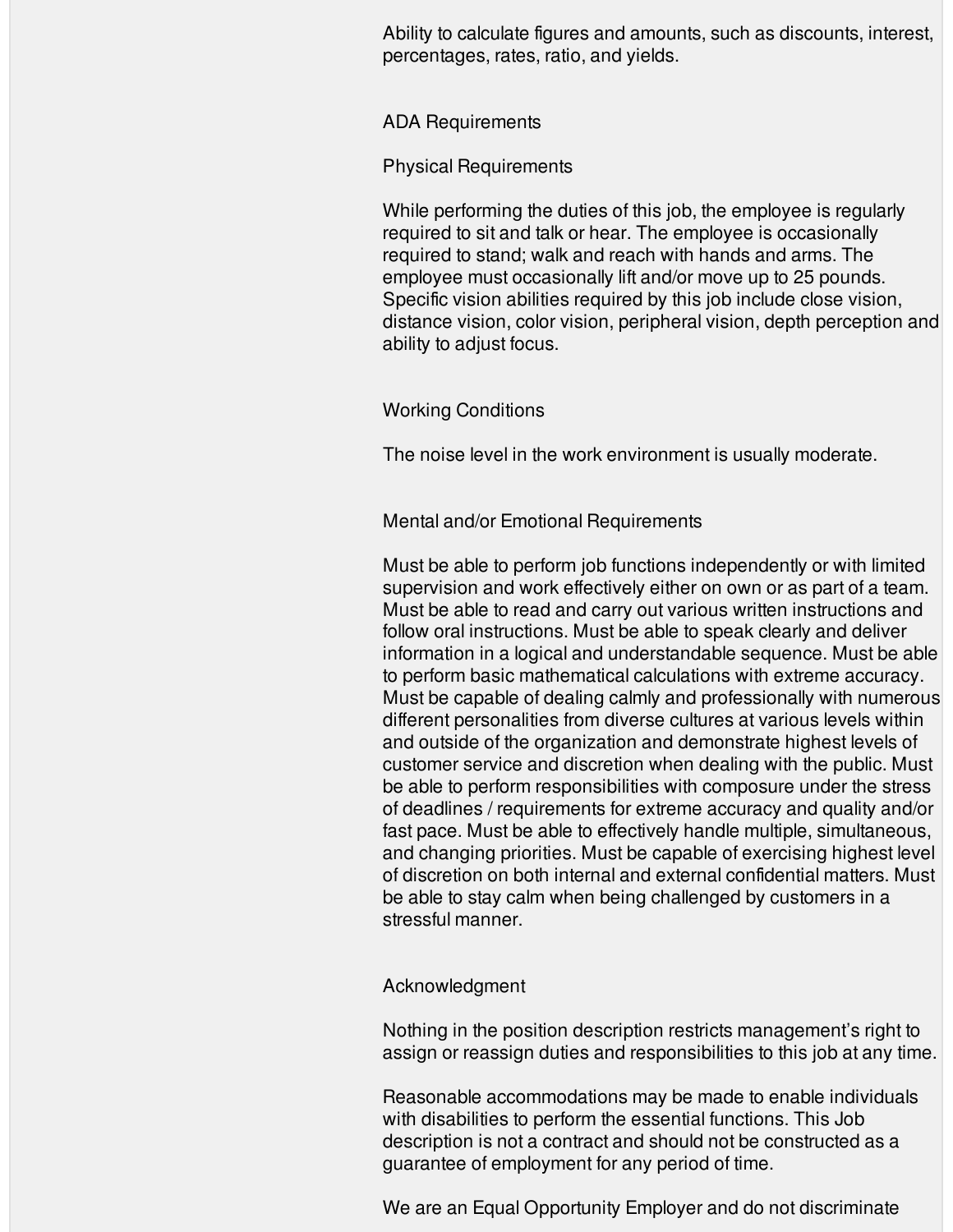Ability to calculate figures and amounts, such as discounts, interest, percentages, rates, ratio, and yields.

## ADA Requirements

## Physical Requirements

While performing the duties of this job, the employee is regularly required to sit and talk or hear. The employee is occasionally required to stand; walk and reach with hands and arms. The employee must occasionally lift and/or move up to 25 pounds. Specific vision abilities required by this job include close vision, distance vision, color vision, peripheral vision, depth perception and ability to adjust focus.

## Working Conditions

The noise level in the work environment is usually moderate.

Mental and/or Emotional Requirements

Must be able to perform job functions independently or with limited supervision and work effectively either on own or as part of a team. Must be able to read and carry out various written instructions and follow oral instructions. Must be able to speak clearly and deliver information in a logical and understandable sequence. Must be able to perform basic mathematical calculations with extreme accuracy. Must be capable of dealing calmly and professionally with numerous different personalities from diverse cultures at various levels within and outside of the organization and demonstrate highest levels of customer service and discretion when dealing with the public. Must be able to perform responsibilities with composure under the stress of deadlines / requirements for extreme accuracy and quality and/or fast pace. Must be able to effectively handle multiple, simultaneous, and changing priorities. Must be capable of exercising highest level of discretion on both internal and external confidential matters. Must be able to stay calm when being challenged by customers in a stressful manner.

## Acknowledgment

Nothing in the position description restricts management's right to assign or reassign duties and responsibilities to this job at any time.

Reasonable accommodations may be made to enable individuals with disabilities to perform the essential functions. This Job description is not a contract and should not be constructed as a guarantee of employment for any period of time.

We are an Equal Opportunity Employer and do not discriminate